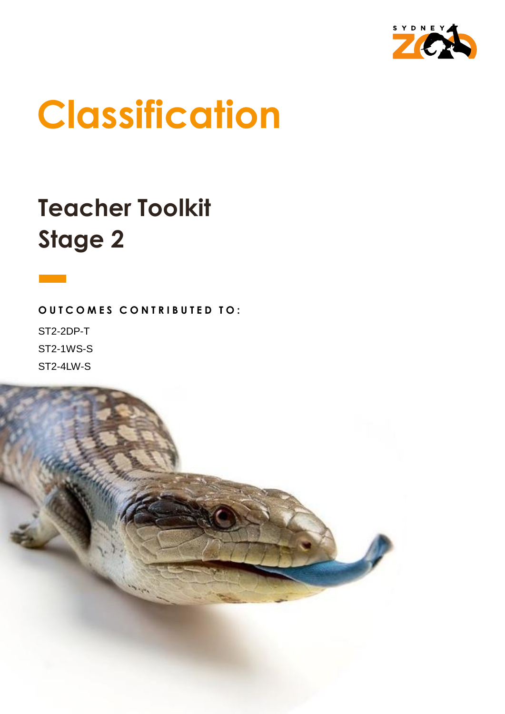

# **Classification**

## **Teacher Toolkit Stage 2**

**OUTCOMES CONTRIBUTED TO:** ST2-2DP-T ST2-1WS-S

ST2-4LW-S

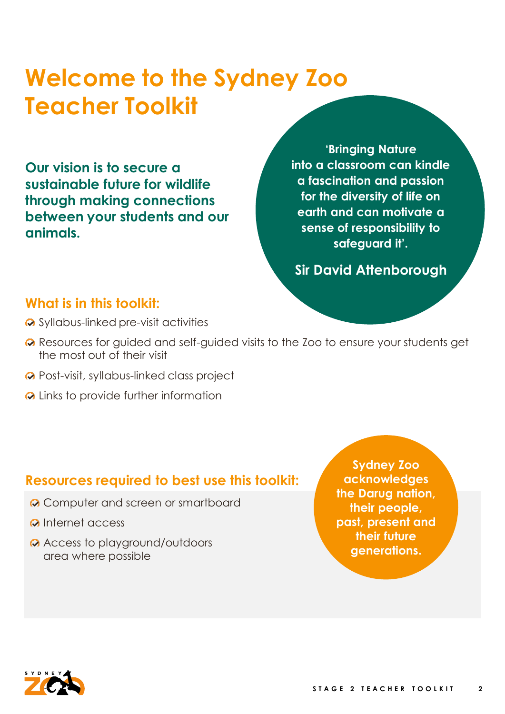### **Welcome to the Sydney Zoo Teacher Toolkit**

**Our vision is to secure a sustainable future for wildlife through making connections between your students and our animals.**

**'Bringing Nature into a classroom can kindle a fascination and passion for the diversity of life on earth and can motivate a sense of responsibility to safeguard it'.**

**Sir David Attenborough**

#### **What is in this toolkit:**

- Syllabus-linked pre-visit activities
- **⊘** Resources for quided and self-quided visits to the Zoo to ensure your students get the most out of their visit
- **Q** Post-visit, syllabus-linked class project
- **Q** Links to provide further information

#### **Resources required to best use this toolkit:**

- **Q** Computer and screen or smartboard
- **Q** Internet access
- Access to playground/outdoors area where possible

**Sydney Zoo acknowledges the Darug nation, their people, past, present and their future generations.**

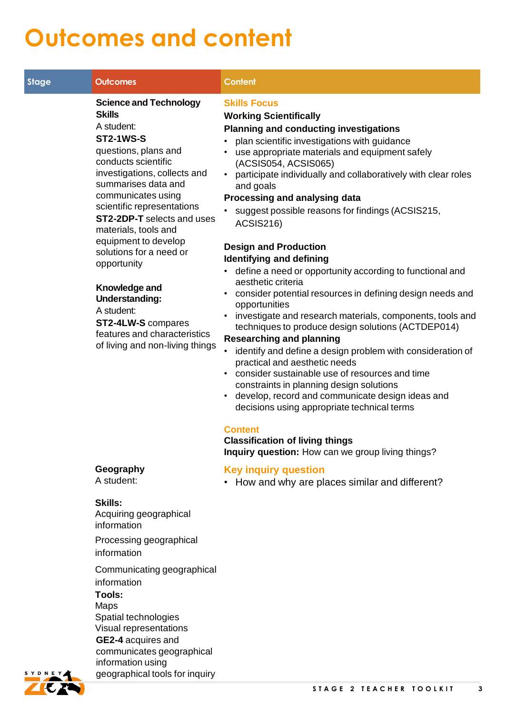### **Outcomes and content**

| <b>Stage</b> | <b>Outcomes</b>                                                                                                                                                                                                                                                                                                                                                                                                                                                                                                            | <b>Content</b>                                                                                                                                                                                                                                                                                                                                                                                                                                                                                                                                                                                                                                                                                                                                                                                                                                                                                                                                                                                                                                                                                                                                                                                                                                                                                      |
|--------------|----------------------------------------------------------------------------------------------------------------------------------------------------------------------------------------------------------------------------------------------------------------------------------------------------------------------------------------------------------------------------------------------------------------------------------------------------------------------------------------------------------------------------|-----------------------------------------------------------------------------------------------------------------------------------------------------------------------------------------------------------------------------------------------------------------------------------------------------------------------------------------------------------------------------------------------------------------------------------------------------------------------------------------------------------------------------------------------------------------------------------------------------------------------------------------------------------------------------------------------------------------------------------------------------------------------------------------------------------------------------------------------------------------------------------------------------------------------------------------------------------------------------------------------------------------------------------------------------------------------------------------------------------------------------------------------------------------------------------------------------------------------------------------------------------------------------------------------------|
|              | <b>Science and Technology</b><br><b>Skills</b><br>A student:<br><b>ST2-1WS-S</b><br>questions, plans and<br>conducts scientific<br>investigations, collects and<br>summarises data and<br>communicates using<br>scientific representations<br><b>ST2-2DP-T</b> selects and uses<br>materials, tools and<br>equipment to develop<br>solutions for a need or<br>opportunity<br>Knowledge and<br><b>Understanding:</b><br>A student:<br>ST2-4LW-S compares<br>features and characteristics<br>of living and non-living things | <b>Skills Focus</b><br><b>Working Scientifically</b><br><b>Planning and conducting investigations</b><br>plan scientific investigations with guidance<br>use appropriate materials and equipment safely<br>$\bullet$<br>(ACSIS054, ACSIS065)<br>participate individually and collaboratively with clear roles<br>$\bullet$<br>and goals<br>Processing and analysing data<br>suggest possible reasons for findings (ACSIS215,<br><b>ACSIS216)</b><br><b>Design and Production</b><br><b>Identifying and defining</b><br>define a need or opportunity according to functional and<br>aesthetic criteria<br>consider potential resources in defining design needs and<br>opportunities<br>investigate and research materials, components, tools and<br>$\bullet$<br>techniques to produce design solutions (ACTDEP014)<br><b>Researching and planning</b><br>identify and define a design problem with consideration of<br>$\bullet$<br>practical and aesthetic needs<br>• consider sustainable use of resources and time<br>constraints in planning design solutions<br>develop, record and communicate design ideas and<br>$\bullet$<br>decisions using appropriate technical terms<br><b>Content</b><br><b>Classification of living things</b><br>Inquiry question: How can we group living things? |
|              | Geography<br>A student:                                                                                                                                                                                                                                                                                                                                                                                                                                                                                                    | <b>Key inquiry question</b><br>• How and why are places similar and different?                                                                                                                                                                                                                                                                                                                                                                                                                                                                                                                                                                                                                                                                                                                                                                                                                                                                                                                                                                                                                                                                                                                                                                                                                      |
|              | <b>Skills:</b><br>Acquiring geographical<br>information                                                                                                                                                                                                                                                                                                                                                                                                                                                                    |                                                                                                                                                                                                                                                                                                                                                                                                                                                                                                                                                                                                                                                                                                                                                                                                                                                                                                                                                                                                                                                                                                                                                                                                                                                                                                     |
|              | Processing geographical<br>information                                                                                                                                                                                                                                                                                                                                                                                                                                                                                     |                                                                                                                                                                                                                                                                                                                                                                                                                                                                                                                                                                                                                                                                                                                                                                                                                                                                                                                                                                                                                                                                                                                                                                                                                                                                                                     |
|              | Communicating geographical<br>information<br>Tools:<br><b>Maps</b><br>Spatial technologies<br>Visual representations<br>GE2-4 acquires and<br>communicates geographical                                                                                                                                                                                                                                                                                                                                                    |                                                                                                                                                                                                                                                                                                                                                                                                                                                                                                                                                                                                                                                                                                                                                                                                                                                                                                                                                                                                                                                                                                                                                                                                                                                                                                     |



information using

geographical tools for inquiry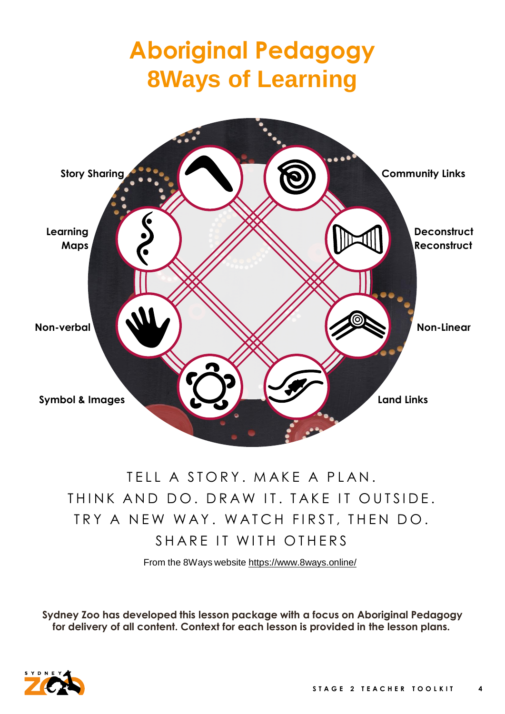## **Aboriginal Pedagogy 8Ways of Learning**



#### TELL A STORY. MAKE A PLAN. THINK AND DO. DRAW IT. TAKE IT OUTSIDE. TRY A NEW WAY. WATCH FIRST, THEN DO. SHARE IT WITH OTHERS

From the 8Ways website <https://www.8ways.online/>

**Sydney Zoo has developed this lesson package with a focus on Aboriginal Pedagogy for delivery of all content. Context for each lesson is provided in the lesson plans.**

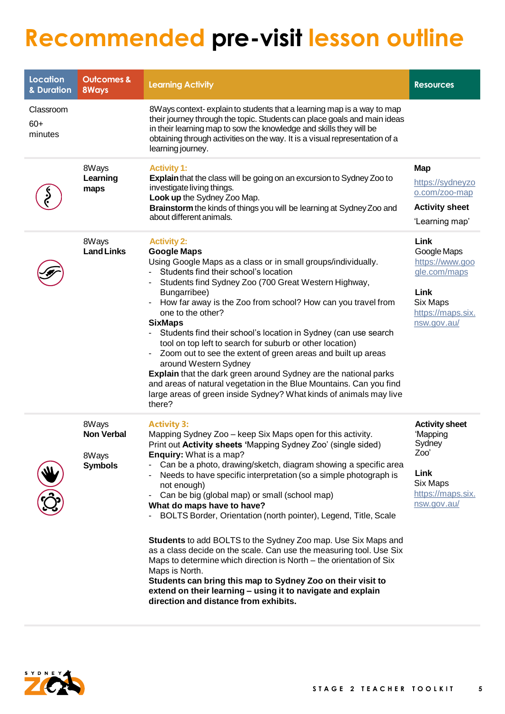### **Recommended pre-visit lesson outline**

| <b>Location</b><br>& Duration | <b>Outcomes &amp;</b><br><b>8Ways</b>                 | <b>Learning Activity</b>                                                                                                                                                                                                                                                                                                                                                                                                                                                                                                                                                                                                                                                                                                                                                                                                                                                                     | <b>Resources</b>                                                                                               |
|-------------------------------|-------------------------------------------------------|----------------------------------------------------------------------------------------------------------------------------------------------------------------------------------------------------------------------------------------------------------------------------------------------------------------------------------------------------------------------------------------------------------------------------------------------------------------------------------------------------------------------------------------------------------------------------------------------------------------------------------------------------------------------------------------------------------------------------------------------------------------------------------------------------------------------------------------------------------------------------------------------|----------------------------------------------------------------------------------------------------------------|
| Classroom<br>$60+$<br>minutes |                                                       | 8Ways context-explain to students that a learning map is a way to map<br>their journey through the topic. Students can place goals and main ideas<br>in their learning map to sow the knowledge and skills they will be<br>obtaining through activities on the way. It is a visual representation of a<br>learning journey.                                                                                                                                                                                                                                                                                                                                                                                                                                                                                                                                                                  |                                                                                                                |
|                               | 8Ways<br>Learning<br>maps                             | <b>Activity 1:</b><br><b>Explain</b> that the class will be going on an excursion to Sydney Zoo to<br>investigate living things.<br>Look up the Sydney Zoo Map.<br>Brainstorm the kinds of things you will be learning at Sydney Zoo and<br>about different animals.                                                                                                                                                                                                                                                                                                                                                                                                                                                                                                                                                                                                                         | <b>Map</b><br>https://sydneyzo<br>o.com/zoo-map<br><b>Activity sheet</b><br>'Learning map'                     |
|                               | 8Ways<br><b>Land Links</b>                            | <b>Activity 2:</b><br><b>Google Maps</b><br>Using Google Maps as a class or in small groups/individually.<br>Students find their school's location<br>Students find Sydney Zoo (700 Great Western Highway,<br>Bungarribee)<br>How far away is the Zoo from school? How can you travel from<br>one to the other?<br><b>SixMaps</b><br>Students find their school's location in Sydney (can use search<br>tool on top left to search for suburb or other location)<br>Zoom out to see the extent of green areas and built up areas<br>around Western Sydney<br>Explain that the dark green around Sydney are the national parks<br>and areas of natural vegetation in the Blue Mountains. Can you find<br>large areas of green inside Sydney? What kinds of animals may live<br>there?                                                                                                         | Link<br>Google Maps<br>https://www.goo<br>gle.com/maps<br>Link<br>Six Maps<br>https://maps.six.<br>nsw.gov.au/ |
| Щ                             | 8Ways<br><b>Non Verbal</b><br>8Ways<br><b>Symbols</b> | <b>Activity 3:</b><br>Mapping Sydney Zoo - keep Six Maps open for this activity.<br>Print out Activity sheets 'Mapping Sydney Zoo' (single sided)<br>Enquiry: What is a map?<br>Can be a photo, drawing/sketch, diagram showing a specific area<br>Needs to have specific interpretation (so a simple photograph is<br>not enough)<br>Can be big (global map) or small (school map)<br>What do maps have to have?<br>BOLTS Border, Orientation (north pointer), Legend, Title, Scale<br>Students to add BOLTS to the Sydney Zoo map. Use Six Maps and<br>as a class decide on the scale. Can use the measuring tool. Use Six<br>Maps to determine which direction is North - the orientation of Six<br>Maps is North.<br>Students can bring this map to Sydney Zoo on their visit to<br>extend on their learning - using it to navigate and explain<br>direction and distance from exhibits. | <b>Activity sheet</b><br>'Mapping<br>Sydney<br>Zoo'<br>Link<br>Six Maps<br>https://maps.six.<br>nsw.gov.au/    |

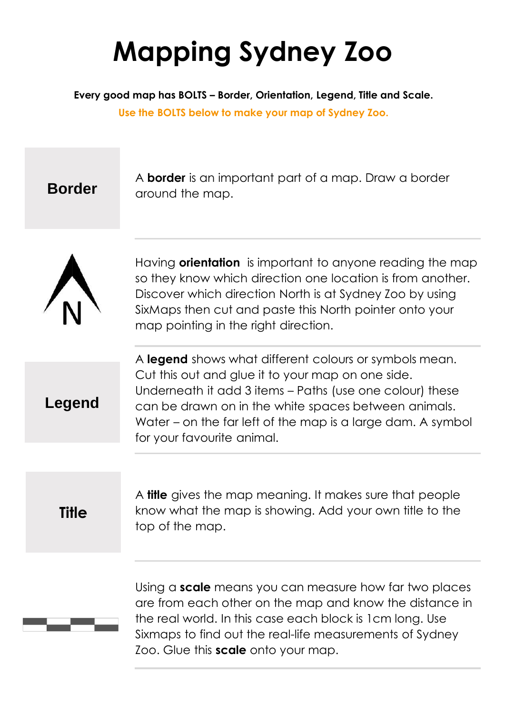## **Mapping Sydney Zoo**

**Every good map has BOLTS – Border, Orientation, Legend, Title and Scale.** 

**Use the BOLTS below to make your map of Sydney Zoo.**

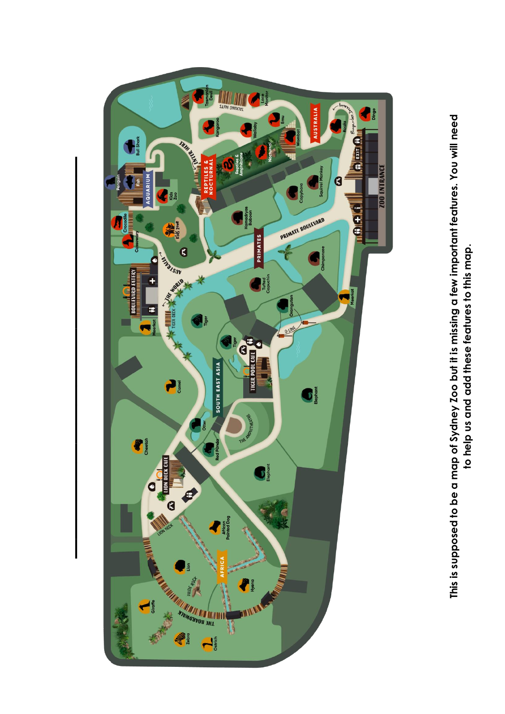

**to help us and add these features to this map.**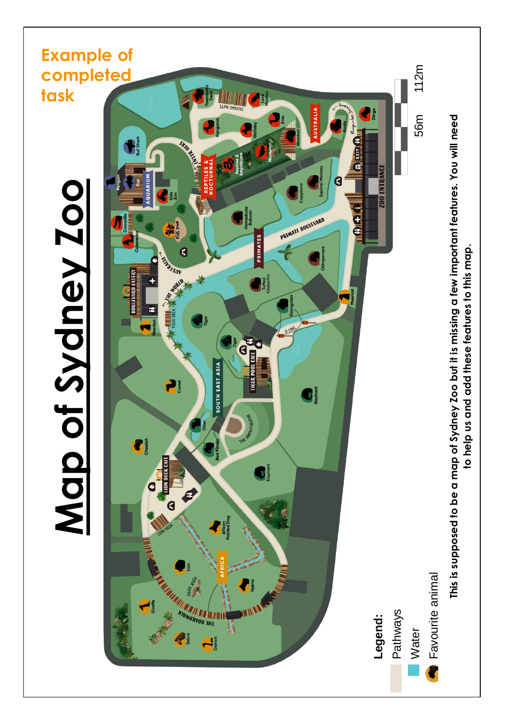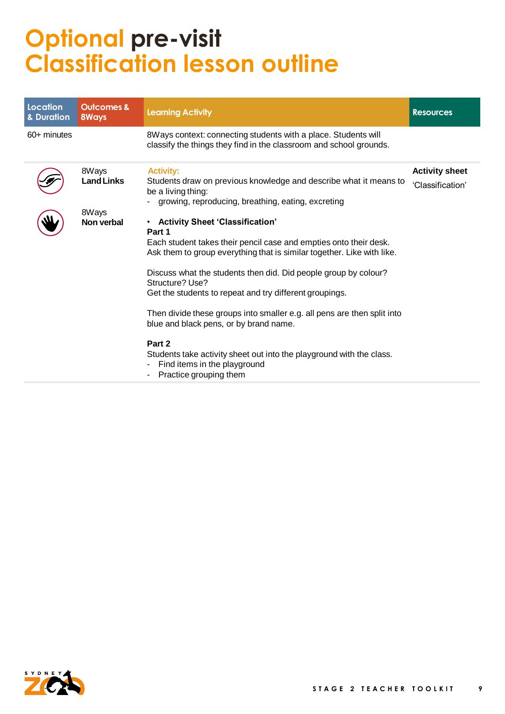### **Optional pre-visit Classification lesson outline**

| Location<br>& Duration | <b>Outcomes &amp;</b><br>8Ways | <b>Learning Activity</b>                                                                                                                                                                                                                                                                                                                                                                                                                                                                                                                                                                                     | <b>Resources</b>                          |
|------------------------|--------------------------------|--------------------------------------------------------------------------------------------------------------------------------------------------------------------------------------------------------------------------------------------------------------------------------------------------------------------------------------------------------------------------------------------------------------------------------------------------------------------------------------------------------------------------------------------------------------------------------------------------------------|-------------------------------------------|
| $60+$ minutes          |                                | 8Ways context: connecting students with a place. Students will<br>classify the things they find in the classroom and school grounds.                                                                                                                                                                                                                                                                                                                                                                                                                                                                         |                                           |
|                        | 8Ways<br><b>Land Links</b>     | <b>Activity:</b><br>Students draw on previous knowledge and describe what it means to<br>be a living thing:<br>growing, reproducing, breathing, eating, excreting                                                                                                                                                                                                                                                                                                                                                                                                                                            | <b>Activity sheet</b><br>'Classification' |
| П                      | 8Ways<br>Non verbal            | • Activity Sheet 'Classification'<br>Part 1<br>Each student takes their pencil case and empties onto their desk.<br>Ask them to group everything that is similar together. Like with like.<br>Discuss what the students then did. Did people group by colour?<br>Structure? Use?<br>Get the students to repeat and try different groupings.<br>Then divide these groups into smaller e.g. all pens are then split into<br>blue and black pens, or by brand name.<br>Part 2<br>Students take activity sheet out into the playground with the class.<br>Find items in the playground<br>Practice grouping them |                                           |

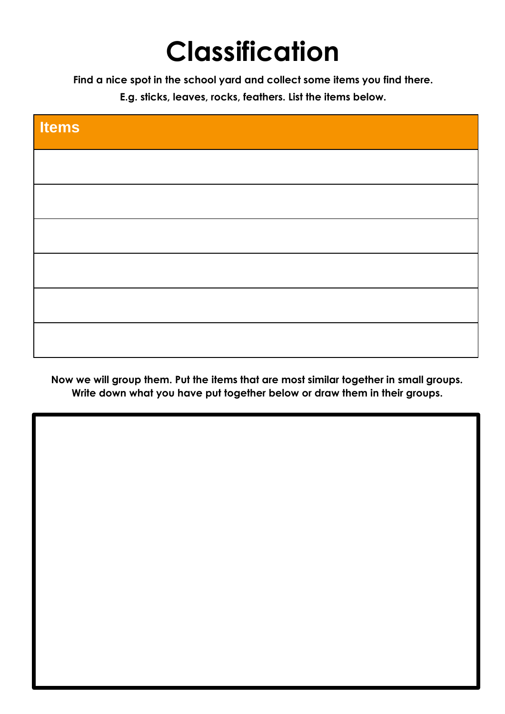## **Classification**

**Find a nice spot in the school yard and collect some items you find there.**

**E.g. sticks, leaves, rocks, feathers. List the items below.** 

| <b>Items</b> |  |  |
|--------------|--|--|
|              |  |  |
|              |  |  |
|              |  |  |
|              |  |  |
|              |  |  |
|              |  |  |

**Now we will group them. Put the items that are most similar together in small groups. Write down what you have put together below or draw them in their groups.**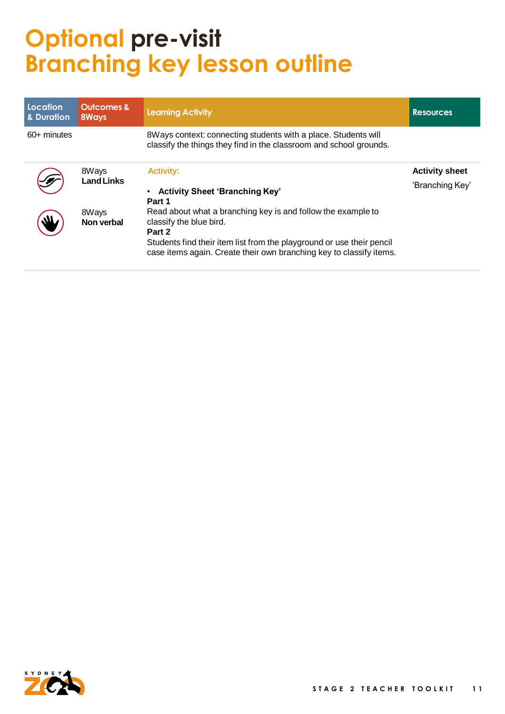### **Optional pre-visit Branching key lesson outline**

| Location<br>& Duration | <b>Outcomes &amp;</b><br>8Ways | <b>Learning Activity</b>                                                                                                                                                                                                                          | <b>Resources</b>                         |
|------------------------|--------------------------------|---------------------------------------------------------------------------------------------------------------------------------------------------------------------------------------------------------------------------------------------------|------------------------------------------|
| 60+ minutes            |                                | 8Ways context: connecting students with a place. Students will<br>classify the things they find in the classroom and school grounds.                                                                                                              |                                          |
|                        | 8Ways<br><b>Land Links</b>     | <b>Activity:</b><br><b>Activity Sheet 'Branching Key'</b><br>$\bullet$<br>Part 1                                                                                                                                                                  | <b>Activity sheet</b><br>'Branching Key' |
|                        | 8Ways<br>Non verbal            | Read about what a branching key is and follow the example to<br>classify the blue bird.<br>Part 2<br>Students find their item list from the playground or use their pencil<br>case items again. Create their own branching key to classify items. |                                          |

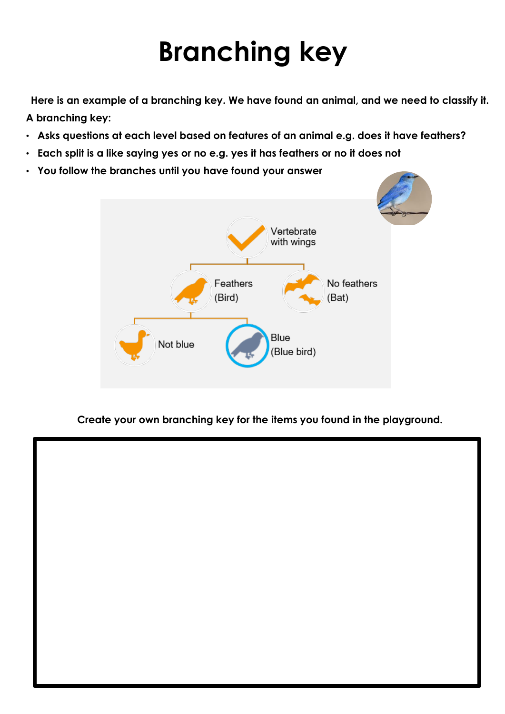## **Branching key**

**Here is an example of a branching key. We have found an animal, and we need to classify it. A branching key:**

- **Asks questions at each level based on features of an animal e.g. does it have feathers?**
- **Each split is a like saying yes or no e.g. yes it has feathers or no it does not**
- **You follow the branches until you have found your answer**



**Create your own branching key for the items you found in the playground.**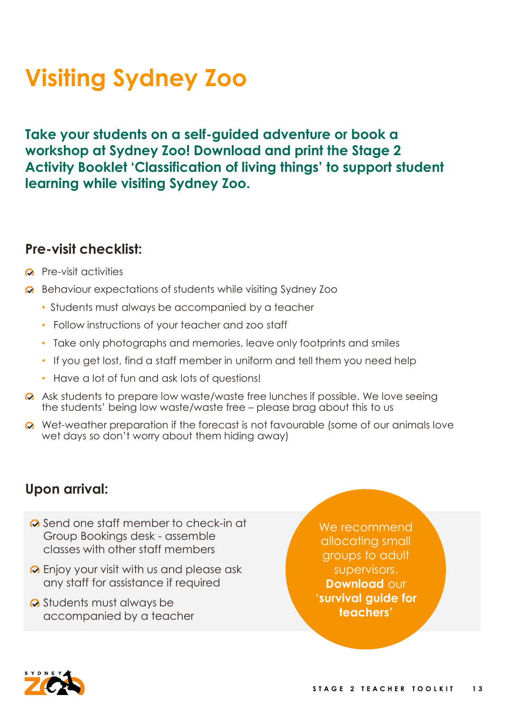## **Visiting Sydney Zoo**

**Take your students on a self-guided adventure or book a workshop at Sydney Zoo! Download and print the Stage 2 Activity Booklet 'Classification of living things' to support student learning while visiting Sydney Zoo.** 

#### **Pre-visit checklist:**

- **Q** Pre-visit activities
- **△** Behaviour expectations of students while visiting Sydney Zoo
	- Students must always be accompanied by a teacher
	- Follow instructions of your teacher and zoo staff
	- Take only photographs and memories, leave only footprints and smiles
	- If you get lost, find a staff member in uniform and tell them you need help
	- Have a lot of fun and ask lots of questions!
- Ask students to prepare low waste/waste free lunches if possible. We love seeing the students' being low waste/waste free – please brag about this to us
- Wet-weather preparation if the forecast is not favourable (some of our animals love wet days so don't worry about them hiding away)

#### **Upon arrival:**

- **◆** Send one staff member to check-in at Group Bookings desk - assemble classes with other staff members
- **O** Enjoy your visit with us and please ask any staff for assistance if required
- Students must always be accompanied by a teacher

We recommend allocating small groups to adult supervisors. **Download** our '**survival guide for teachers'**

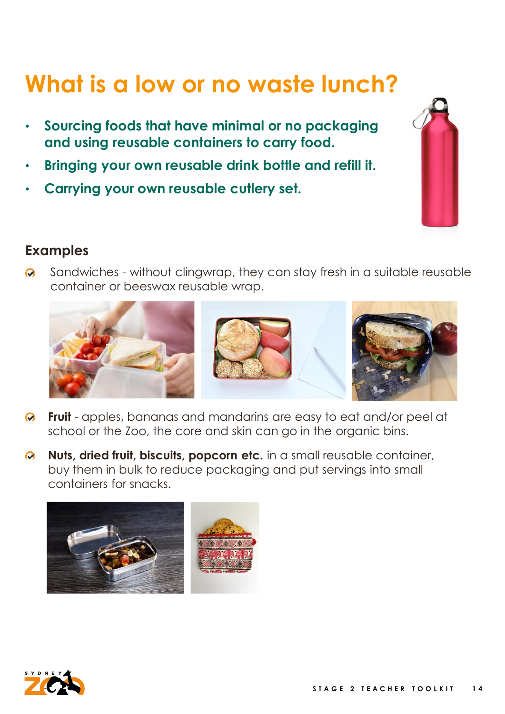### **What is a low or no waste lunch?**

- **Sourcing foods that have minimal or no packaging and using reusable containers to carry food.**
- **Bringing your own reusable drink bottle and refill it.**
- **Carrying your own reusable cutlery set.**



#### **Examples**

Sandwiches - without clingwrap, they can stay fresh in a suitable reusable  $\odot$ container or beeswax reusable wrap.



- **Fruit** apples, bananas and mandarins are easy to eat and/or peel at  $\boldsymbol{\Omega}$ school or the Zoo, the core and skin can go in the organic bins.
- **Nuts, dried fruit, biscuits, popcorn etc.** in a small reusable container,  $\odot$ buy them in bulk to reduce packaging and put servings into small containers for snacks.



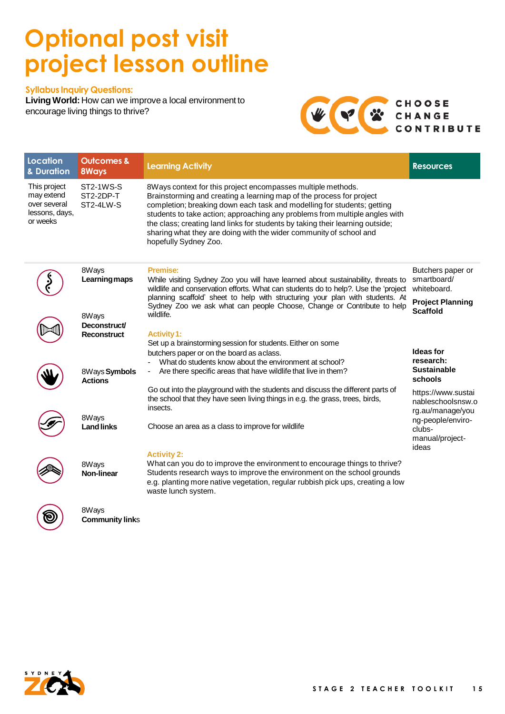#### **Optional post visit project lesson outline**

#### **Syllabus Inquiry Questions:**

**LivingWorld:** How can we improvea local environment to encourage living things to thrive?



| <b>Location</b><br>& Duration                                            | <b>Outcomes &amp;</b><br><b>8Ways</b>          | <b>Learning Activity</b>                                                                                                                                                                                                                                                                                                                                                                                                                                                       | <b>Resources</b>                                            |
|--------------------------------------------------------------------------|------------------------------------------------|--------------------------------------------------------------------------------------------------------------------------------------------------------------------------------------------------------------------------------------------------------------------------------------------------------------------------------------------------------------------------------------------------------------------------------------------------------------------------------|-------------------------------------------------------------|
| This project<br>may extend<br>over several<br>lessons, days,<br>or weeks | <b>ST2-1WS-S</b><br>ST2-2DP-T<br>ST2-4LW-S     | 8Ways context for this project encompasses multiple methods.<br>Brainstorming and creating a learning map of the process for project<br>completion; breaking down each task and modelling for students; getting<br>students to take action; approaching any problems from multiple angles with<br>the class; creating land links for students by taking their learning outside;<br>sharing what they are doing with the wider community of school and<br>hopefully Sydney Zoo. |                                                             |
|                                                                          | 8Ways<br>Learningmaps                          | <b>Premise:</b><br>While visiting Sydney Zoo you will have learned about sustainability, threats to<br>wildlife and conservation efforts. What can students do to help?. Use the 'project                                                                                                                                                                                                                                                                                      | Butchers paper or<br>smartboard/<br>whiteboard.             |
|                                                                          | 8Ways<br><b>Deconstruct/</b>                   | planning scaffold' sheet to help with structuring your plan with students. At<br>Sydney Zoo we ask what can people Choose, Change or Contribute to help<br>wildlife.                                                                                                                                                                                                                                                                                                           | <b>Project Planning</b><br><b>Scaffold</b>                  |
|                                                                          | Reconstruct<br>8Ways Symbols<br><b>Actions</b> | <b>Activity 1:</b><br>Set up a brainstorming session for students. Either on some<br>butchers paper or on the board as aclass.<br>What do students know about the environment at school?<br>Are there specific areas that have wildlife that live in them?                                                                                                                                                                                                                     | Ideas for<br>research:<br><b>Sustainable</b><br>schools     |
|                                                                          | 8Ways                                          | Go out into the playground with the students and discuss the different parts of<br>the school that they have seen living things in e.g. the grass, trees, birds,<br>insects.                                                                                                                                                                                                                                                                                                   | https://www.sustai<br>nableschoolsnsw.o<br>rg.au/manage/you |
|                                                                          | <b>Land links</b>                              | Choose an area as a class to improve for wildlife                                                                                                                                                                                                                                                                                                                                                                                                                              | ng-people/enviro-<br>clubs-<br>manual/project-<br>ideas     |
|                                                                          | 8Ways<br>Non-linear                            | <b>Activity 2:</b><br>What can you do to improve the environment to encourage things to thrive?<br>Students research ways to improve the environment on the school grounds<br>e.g. planting more native vegetation, regular rubbish pick ups, creating a low<br>waste lunch system.                                                                                                                                                                                            |                                                             |
| ම                                                                        | 8Ways<br><b>Community links</b>                |                                                                                                                                                                                                                                                                                                                                                                                                                                                                                |                                                             |

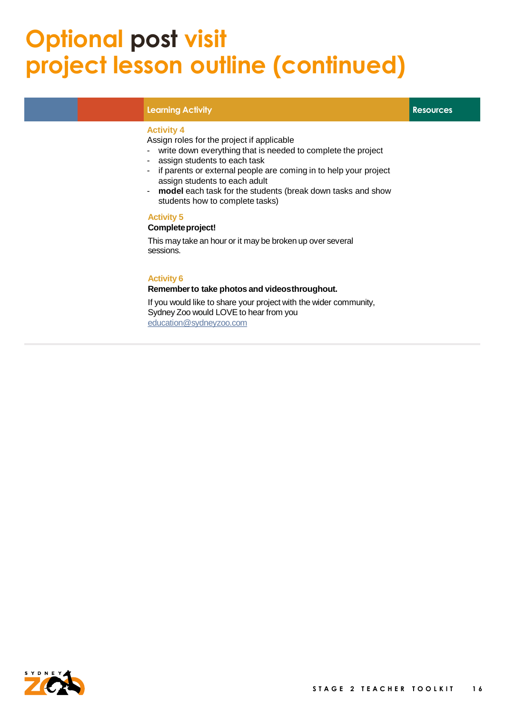#### **Optional post visit project lesson outline (continued)**

#### **Learning Activity Resources**

#### **Activity 4**

Assign roles for the project if applicable

- write down everything that is needed to complete the project
- assign students to each task
- if parents or external people are coming in to help your project assign students to each adult
- **model** each task for the students (break down tasks and show students how to complete tasks)

#### **Activity 5**

#### **Completeproject!**

This may take an hour or it may be broken up over several sessions.

#### **Activity 6**

#### **Remember to take photos and videosthroughout.**

If you would like to share your project with the wider community, Sydney Zoo would LOVE to hear from you [education@sydneyzoo.com](mailto:education@sydneyinfo.com)

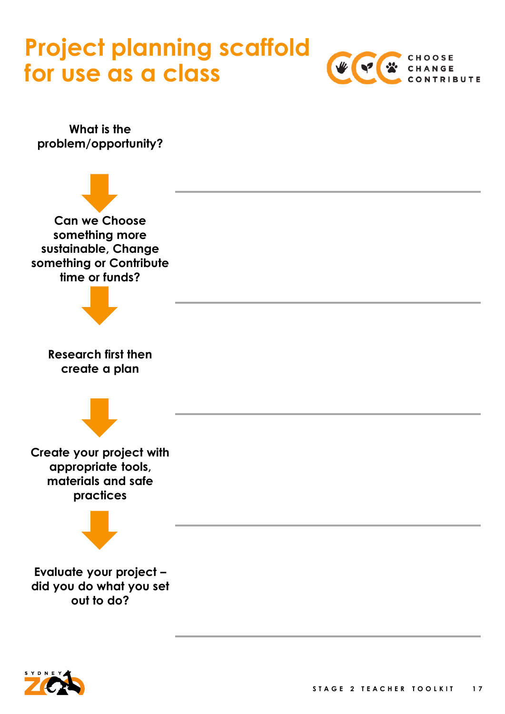#### **Project planning scaffold for use as a class**



**What is the problem/opportunity?**



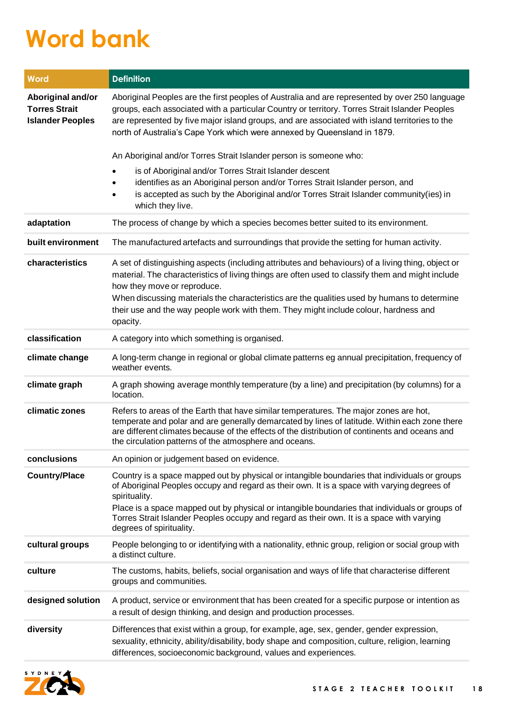### **Word bank**

| Word                                                                 | <b>Definition</b>                                                                                                                                                                                                                                                                                                                                                                                                                        |
|----------------------------------------------------------------------|------------------------------------------------------------------------------------------------------------------------------------------------------------------------------------------------------------------------------------------------------------------------------------------------------------------------------------------------------------------------------------------------------------------------------------------|
| Aboriginal and/or<br><b>Torres Strait</b><br><b>Islander Peoples</b> | Aboriginal Peoples are the first peoples of Australia and are represented by over 250 language<br>groups, each associated with a particular Country or territory. Torres Strait Islander Peoples<br>are represented by five major island groups, and are associated with island territories to the<br>north of Australia's Cape York which were annexed by Queensland in 1879.                                                           |
|                                                                      | An Aboriginal and/or Torres Strait Islander person is someone who:                                                                                                                                                                                                                                                                                                                                                                       |
|                                                                      | is of Aboriginal and/or Torres Strait Islander descent<br>identifies as an Aboriginal person and/or Torres Strait Islander person, and<br>is accepted as such by the Aboriginal and/or Torres Strait Islander community(ies) in<br>which they live.                                                                                                                                                                                      |
| adaptation                                                           | The process of change by which a species becomes better suited to its environment.                                                                                                                                                                                                                                                                                                                                                       |
| built environment                                                    | The manufactured artefacts and surroundings that provide the setting for human activity.                                                                                                                                                                                                                                                                                                                                                 |
| characteristics                                                      | A set of distinguishing aspects (including attributes and behaviours) of a living thing, object or<br>material. The characteristics of living things are often used to classify them and might include<br>how they move or reproduce.<br>When discussing materials the characteristics are the qualities used by humans to determine<br>their use and the way people work with them. They might include colour, hardness and<br>opacity. |
| classification                                                       | A category into which something is organised.                                                                                                                                                                                                                                                                                                                                                                                            |
| climate change                                                       | A long-term change in regional or global climate patterns eg annual precipitation, frequency of<br>weather events.                                                                                                                                                                                                                                                                                                                       |
| climate graph                                                        | A graph showing average monthly temperature (by a line) and precipitation (by columns) for a<br>location.                                                                                                                                                                                                                                                                                                                                |
| climatic zones                                                       | Refers to areas of the Earth that have similar temperatures. The major zones are hot,<br>temperate and polar and are generally demarcated by lines of latitude. Within each zone there<br>are different climates because of the effects of the distribution of continents and oceans and<br>the circulation patterns of the atmosphere and oceans.                                                                                       |
| conclusions                                                          | An opinion or judgement based on evidence.                                                                                                                                                                                                                                                                                                                                                                                               |
| <b>Country/Place</b>                                                 | Country is a space mapped out by physical or intangible boundaries that individuals or groups<br>of Aboriginal Peoples occupy and regard as their own. It is a space with varying degrees of<br>spirituality.<br>Place is a space mapped out by physical or intangible boundaries that individuals or groups of<br>Torres Strait Islander Peoples occupy and regard as their own. It is a space with varying<br>degrees of spirituality. |
| cultural groups                                                      | People belonging to or identifying with a nationality, ethnic group, religion or social group with<br>a distinct culture.                                                                                                                                                                                                                                                                                                                |
| culture                                                              | The customs, habits, beliefs, social organisation and ways of life that characterise different<br>groups and communities.                                                                                                                                                                                                                                                                                                                |
| designed solution                                                    | A product, service or environment that has been created for a specific purpose or intention as<br>a result of design thinking, and design and production processes.                                                                                                                                                                                                                                                                      |
| diversity                                                            | Differences that exist within a group, for example, age, sex, gender, gender expression,<br>sexuality, ethnicity, ability/disability, body shape and composition, culture, religion, learning<br>differences, socioeconomic background, values and experiences.                                                                                                                                                                          |

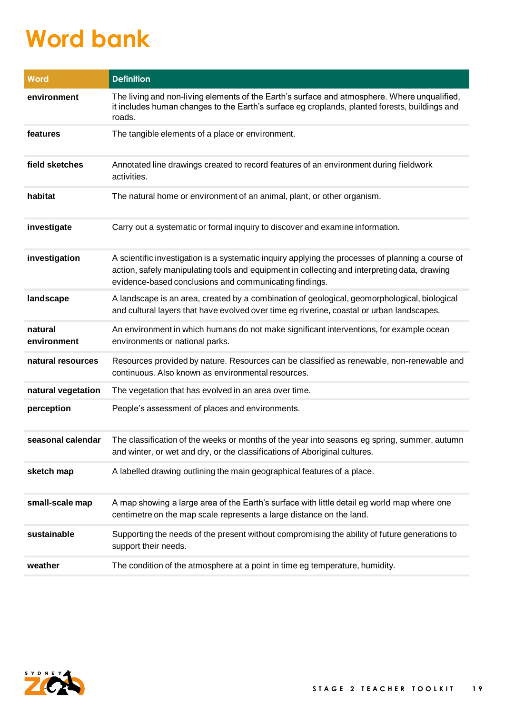## **Word bank**

| Word                   | <b>Definition</b>                                                                                                                                                                                                                                           |
|------------------------|-------------------------------------------------------------------------------------------------------------------------------------------------------------------------------------------------------------------------------------------------------------|
| environment            | The living and non-living elements of the Earth's surface and atmosphere. Where unqualified,<br>it includes human changes to the Earth's surface eg croplands, planted forests, buildings and<br>roads.                                                     |
| features               | The tangible elements of a place or environment.                                                                                                                                                                                                            |
| field sketches         | Annotated line drawings created to record features of an environment during fieldwork<br>activities.                                                                                                                                                        |
| habitat                | The natural home or environment of an animal, plant, or other organism.                                                                                                                                                                                     |
| investigate            | Carry out a systematic or formal inquiry to discover and examine information.                                                                                                                                                                               |
| investigation          | A scientific investigation is a systematic inquiry applying the processes of planning a course of<br>action, safely manipulating tools and equipment in collecting and interpreting data, drawing<br>evidence-based conclusions and communicating findings. |
| landscape              | A landscape is an area, created by a combination of geological, geomorphological, biological<br>and cultural layers that have evolved over time eg riverine, coastal or urban landscapes.                                                                   |
| natural<br>environment | An environment in which humans do not make significant interventions, for example ocean<br>environments or national parks.                                                                                                                                  |
| natural resources      | Resources provided by nature. Resources can be classified as renewable, non-renewable and<br>continuous. Also known as environmental resources.                                                                                                             |
| natural vegetation     | The vegetation that has evolved in an area over time.                                                                                                                                                                                                       |
| perception             | People's assessment of places and environments.                                                                                                                                                                                                             |
| seasonal calendar      | The classification of the weeks or months of the year into seasons eg spring, summer, autumn<br>and winter, or wet and dry, or the classifications of Aboriginal cultures.                                                                                  |
| sketch map             | A labelled drawing outlining the main geographical features of a place.                                                                                                                                                                                     |
| small-scale map        | A map showing a large area of the Earth's surface with little detail eg world map where one<br>centimetre on the map scale represents a large distance on the land.                                                                                         |
| sustainable            | Supporting the needs of the present without compromising the ability of future generations to<br>support their needs.                                                                                                                                       |
| weather                | The condition of the atmosphere at a point in time eg temperature, humidity.                                                                                                                                                                                |